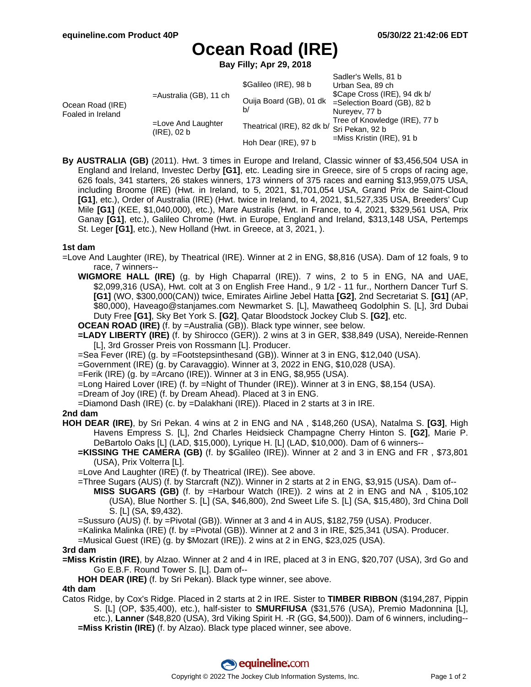# **Ocean Road (IRE)**

**Bay Filly; Apr 29, 2018**

| Ocean Road (IRE)<br>Foaled in Ireland | $=$ Australia (GB), 11 ch         | \$Galileo (IRE), 98 b                      | Sadler's Wells, 81 b<br>Urban Sea, 89 ch<br>\$Cape Cross (IRE), 94 dk b/<br>=Selection Board (GB), 82 b<br>Nureyev, 77 b<br>Tree of Knowledge (IRE), 77 b<br>$=$ Miss Kristin (IRE), 91 b |
|---------------------------------------|-----------------------------------|--------------------------------------------|-------------------------------------------------------------------------------------------------------------------------------------------------------------------------------------------|
|                                       |                                   | Ouija Board (GB), 01 dk<br>b/              |                                                                                                                                                                                           |
|                                       | =Love And Laughter<br>(IRE), 02 b | Theatrical (IRE), 82 dk b/ Sri Pekan, 92 b |                                                                                                                                                                                           |
|                                       |                                   | Hoh Dear (IRE), 97 b                       |                                                                                                                                                                                           |

**By AUSTRALIA (GB)** (2011). Hwt. 3 times in Europe and Ireland, Classic winner of \$3,456,504 USA in England and Ireland, Investec Derby **[G1]**, etc. Leading sire in Greece, sire of 5 crops of racing age, 626 foals, 341 starters, 26 stakes winners, 173 winners of 375 races and earning \$13,959,075 USA, including Broome (IRE) (Hwt. in Ireland, to 5, 2021, \$1,701,054 USA, Grand Prix de Saint-Cloud **[G1]**, etc.), Order of Australia (IRE) (Hwt. twice in Ireland, to 4, 2021, \$1,527,335 USA, Breeders' Cup Mile **[G1]** (KEE, \$1,040,000), etc.), Mare Australis (Hwt. in France, to 4, 2021, \$329,561 USA, Prix Ganay **[G1]**, etc.), Galileo Chrome (Hwt. in Europe, England and Ireland, \$313,148 USA, Pertemps St. Leger **[G1]**, etc.), New Holland (Hwt. in Greece, at 3, 2021, ).

#### **1st dam**

- =Love And Laughter (IRE), by Theatrical (IRE). Winner at 2 in ENG, \$8,816 (USA). Dam of 12 foals, 9 to race, 7 winners--
	- **WIGMORE HALL (IRE)** (g. by High Chaparral (IRE)). 7 wins, 2 to 5 in ENG, NA and UAE, \$2,099,316 (USA), Hwt. colt at 3 on English Free Hand., 9 1/2 - 11 fur., Northern Dancer Turf S. **[G1]** (WO, \$300,000(CAN)) twice, Emirates Airline Jebel Hatta **[G2]**, 2nd Secretariat S. **[G1]** (AP, \$80,000), Haveago@stanjames.com Newmarket S. [L], Mawatheeq Godolphin S. [L], 3rd Dubai Duty Free **[G1]**, Sky Bet York S. **[G2]**, Qatar Bloodstock Jockey Club S. **[G2]**, etc.

**OCEAN ROAD (IRE)** (f. by =Australia (GB)). Black type winner, see below.

- **=LADY LIBERTY (IRE)** (f. by Shirocco (GER)). 2 wins at 3 in GER, \$38,849 (USA), Nereide-Rennen [L], 3rd Grosser Preis von Rossmann [L]. Producer.
- =Sea Fever (IRE) (g. by =Footstepsinthesand (GB)). Winner at 3 in ENG, \$12,040 (USA).
- =Government (IRE) (g. by Caravaggio). Winner at 3, 2022 in ENG, \$10,028 (USA).
- =Ferik (IRE) (g. by =Arcano (IRE)). Winner at 3 in ENG, \$8,955 (USA).
- =Long Haired Lover (IRE) (f. by =Night of Thunder (IRE)). Winner at 3 in ENG, \$8,154 (USA).
- =Dream of Joy (IRE) (f. by Dream Ahead). Placed at 3 in ENG.
- =Diamond Dash (IRE) (c. by =Dalakhani (IRE)). Placed in 2 starts at 3 in IRE.

#### **2nd dam**

- **HOH DEAR (IRE)**, by Sri Pekan. 4 wins at 2 in ENG and NA , \$148,260 (USA), Natalma S. **[G3]**, High Havens Empress S. [L], 2nd Charles Heidsieck Champagne Cherry Hinton S. **[G2]**, Marie P. DeBartolo Oaks [L] (LAD, \$15,000), Lyrique H. [L] (LAD, \$10,000). Dam of 6 winners--
	- **=KISSING THE CAMERA (GB)** (f. by \$Galileo (IRE)). Winner at 2 and 3 in ENG and FR , \$73,801 (USA), Prix Volterra [L].
	- =Love And Laughter (IRE) (f. by Theatrical (IRE)). See above.
	- =Three Sugars (AUS) (f. by Starcraft (NZ)). Winner in 2 starts at 2 in ENG, \$3,915 (USA). Dam of--
		- **MISS SUGARS (GB)** (f. by =Harbour Watch (IRE)). 2 wins at 2 in ENG and NA , \$105,102 (USA), Blue Norther S. [L] (SA, \$46,800), 2nd Sweet Life S. [L] (SA, \$15,480), 3rd China Doll S. [L] (SA, \$9,432).
	- =Sussuro (AUS) (f. by =Pivotal (GB)). Winner at 3 and 4 in AUS, \$182,759 (USA). Producer.
	- =Kalinka Malinka (IRE) (f. by =Pivotal (GB)). Winner at 2 and 3 in IRE, \$25,341 (USA). Producer.
	- =Musical Guest (IRE) (g. by \$Mozart (IRE)). 2 wins at 2 in ENG, \$23,025 (USA).

#### **3rd dam**

- **=Miss Kristin (IRE)**, by Alzao. Winner at 2 and 4 in IRE, placed at 3 in ENG, \$20,707 (USA), 3rd Go and Go E.B.F. Round Tower S. [L]. Dam of--
	- **HOH DEAR (IRE)** (f. by Sri Pekan). Black type winner, see above.

### **4th dam**

Catos Ridge, by Cox's Ridge. Placed in 2 starts at 2 in IRE. Sister to **TIMBER RIBBON** (\$194,287, Pippin S. [L] (OP, \$35,400), etc.), half-sister to **SMURFIUSA** (\$31,576 (USA), Premio Madonnina [L], etc.), **Lanner** (\$48,820 (USA), 3rd Viking Spirit H. -R (GG, \$4,500)). Dam of 6 winners, including-- **=Miss Kristin (IRE)** (f. by Alzao). Black type placed winner, see above.